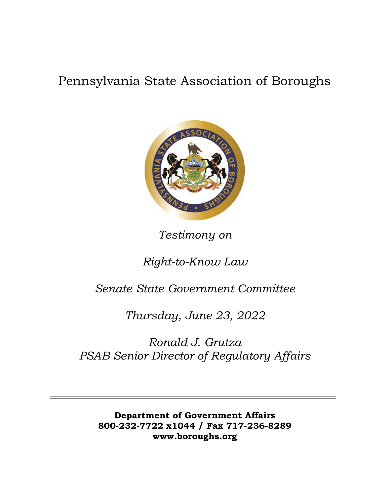# Pennsylvania State Association of Boroughs



*Testimony on*

## *Right-to-Know Law*

## *Senate State Government Committee*

*Thursday, June 23, 2022*

*Ronald J. Grutza PSAB Senior Director of Regulatory Affairs*

**Department of Government Affairs 800-232-7722 x1044 / Fax 717-236-8289 [www.boroughs.org](http://www.boroughs.org/)**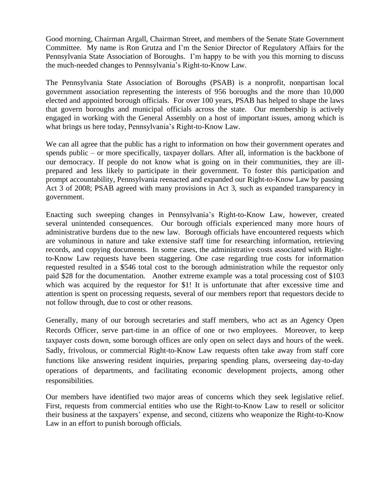Good morning, Chairman Argall, Chairman Street, and members of the Senate State Government Committee. My name is Ron Grutza and I'm the Senior Director of Regulatory Affairs for the Pennsylvania State Association of Boroughs. I'm happy to be with you this morning to discuss the much-needed changes to Pennsylvania's Right-to-Know Law.

The Pennsylvania State Association of Boroughs (PSAB) is a nonprofit, nonpartisan local government association representing the interests of 956 boroughs and the more than 10,000 elected and appointed borough officials. For over 100 years, PSAB has helped to shape the laws that govern boroughs and municipal officials across the state. Our membership is actively engaged in working with the General Assembly on a host of important issues, among which is what brings us here today, Pennsylvania's Right-to-Know Law.

We can all agree that the public has a right to information on how their government operates and spends public – or more specifically, taxpayer dollars. After all, information is the backbone of our democracy. If people do not know what is going on in their communities, they are illprepared and less likely to participate in their government. To foster this participation and prompt accountability, Pennsylvania reenacted and expanded our Right-to-Know Law by passing Act 3 of 2008; PSAB agreed with many provisions in Act 3, such as expanded transparency in government.

Enacting such sweeping changes in Pennsylvania's Right-to-Know Law, however, created several unintended consequences. Our borough officials experienced many more hours of administrative burdens due to the new law. Borough officials have encountered requests which are voluminous in nature and take extensive staff time for researching information, retrieving records, and copying documents. In some cases, the administrative costs associated with Rightto-Know Law requests have been staggering. One case regarding true costs for information requested resulted in a \$546 total cost to the borough administration while the requestor only paid \$28 for the documentation. Another extreme example was a total processing cost of \$103 which was acquired by the requestor for \$1! It is unfortunate that after excessive time and attention is spent on processing requests, several of our members report that requestors decide to not follow through, due to cost or other reasons.

Generally, many of our borough secretaries and staff members, who act as an Agency Open Records Officer, serve part-time in an office of one or two employees. Moreover, to keep taxpayer costs down, some borough offices are only open on select days and hours of the week. Sadly, frivolous, or commercial Right-to-Know Law requests often take away from staff core functions like answering resident inquiries, preparing spending plans, overseeing day-to-day operations of departments, and facilitating economic development projects, among other responsibilities.

Our members have identified two major areas of concerns which they seek legislative relief. First, requests from commercial entities who use the Right-to-Know Law to resell or solicitor their business at the taxpayers' expense, and second, citizens who weaponize the Right-to-Know Law in an effort to punish borough officials.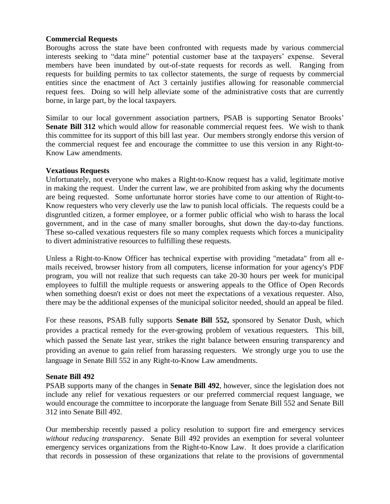#### **Commercial Requests**

Boroughs across the state have been confronted with requests made by various commercial interests seeking to "data mine" potential customer base at the taxpayers' expense. Several members have been inundated by out-of-state requests for records as well. Ranging from requests for building permits to tax collector statements, the surge of requests by commercial entities since the enactment of Act 3 certainly justifies allowing for reasonable commercial request fees. Doing so will help alleviate some of the administrative costs that are currently borne, in large part, by the local taxpayers.

Similar to our local government association partners, PSAB is supporting Senator Brooks' **Senate Bill 312** which would allow for reasonable commercial request fees. We wish to thank this committee for its support of this bill last year. Our members strongly endorse this version of the commercial request fee and encourage the committee to use this version in any Right-to-Know Law amendments.

#### **Vexatious Requests**

Unfortunately, not everyone who makes a Right-to-Know request has a valid, legitimate motive in making the request. Under the current law, we are prohibited from asking why the documents are being requested. Some unfortunate horror stories have come to our attention of Right-to-Know requesters who very cleverly use the law to punish local officials. The requests could be a disgruntled citizen, a former employee, or a former public official who wish to harass the local government, and in the case of many smaller boroughs, shut down the day-to-day functions. These so-called vexatious requesters file so many complex requests which forces a municipality to divert administrative resources to fulfilling these requests.

Unless a Right-to-Know Officer has technical expertise with providing "metadata" from all emails received, browser history from all computers, license information for your agency's PDF program, you will not realize that such requests can take 20-30 hours per week for municipal employees to fulfill the multiple requests or answering appeals to the Office of Open Records when something doesn't exist or does not meet the expectations of a vexatious requester. Also, there may be the additional expenses of the municipal solicitor needed, should an appeal be filed.

For these reasons, PSAB fully supports **Senate Bill 552,** sponsored by Senator Dush, which provides a practical remedy for the ever-growing problem of vexatious requesters. This bill, which passed the Senate last year, strikes the right balance between ensuring transparency and providing an avenue to gain relief from harassing requesters. We strongly urge you to use the language in Senate Bill 552 in any Right-to-Know Law amendments.

### **Senate Bill 492**

PSAB supports many of the changes in **Senate Bill 492**, however, since the legislation does not include any relief for vexatious requesters or our preferred commercial request language, we would encourage the committee to incorporate the language from Senate Bill 552 and Senate Bill 312 into Senate Bill 492.

Our membership recently passed a policy resolution to support fire and emergency services *without reducing transparency*. Senate Bill 492 provides an exemption for several volunteer emergency services organizations from the Right-to-Know Law. It does provide a clarification that records in possession of these organizations that relate to the provisions of governmental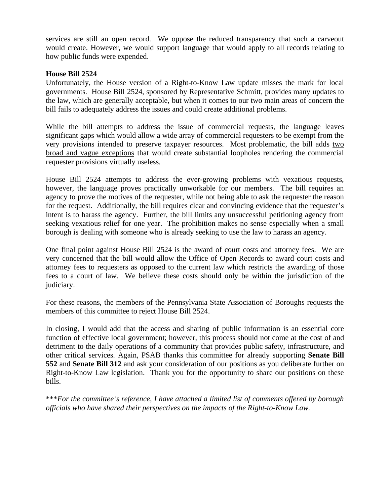services are still an open record. We oppose the reduced transparency that such a carveout would create. However, we would support language that would apply to all records relating to how public funds were expended.

#### **House Bill 2524**

Unfortunately, the House version of a Right-to-Know Law update misses the mark for local governments. House Bill 2524, sponsored by Representative Schmitt, provides many updates to the law, which are generally acceptable, but when it comes to our two main areas of concern the bill fails to adequately address the issues and could create additional problems.

While the bill attempts to address the issue of commercial requests, the language leaves significant gaps which would allow a wide array of commercial requesters to be exempt from the very provisions intended to preserve taxpayer resources. Most problematic, the bill adds two broad and vague exceptions that would create substantial loopholes rendering the commercial requester provisions virtually useless.

House Bill 2524 attempts to address the ever-growing problems with vexatious requests, however, the language proves practically unworkable for our members. The bill requires an agency to prove the motives of the requester, while not being able to ask the requester the reason for the request. Additionally, the bill requires clear and convincing evidence that the requester's intent is to harass the agency. Further, the bill limits any unsuccessful petitioning agency from seeking vexatious relief for one year. The prohibition makes no sense especially when a small borough is dealing with someone who is already seeking to use the law to harass an agency.

One final point against House Bill 2524 is the award of court costs and attorney fees. We are very concerned that the bill would allow the Office of Open Records to award court costs and attorney fees to requesters as opposed to the current law which restricts the awarding of those fees to a court of law. We believe these costs should only be within the jurisdiction of the judiciary.

For these reasons, the members of the Pennsylvania State Association of Boroughs requests the members of this committee to reject House Bill 2524.

In closing, I would add that the access and sharing of public information is an essential core function of effective local government; however, this process should not come at the cost of and detriment to the daily operations of a community that provides public safety, infrastructure, and other critical services. Again, PSAB thanks this committee for already supporting **Senate Bill 552** and **Senate Bill 312** and ask your consideration of our positions as you deliberate further on Right-to-Know Law legislation. Thank you for the opportunity to share our positions on these bills.

\*\*\**For the committee's reference, I have attached a limited list of comments offered by borough officials who have shared their perspectives on the impacts of the Right-to-Know Law.*